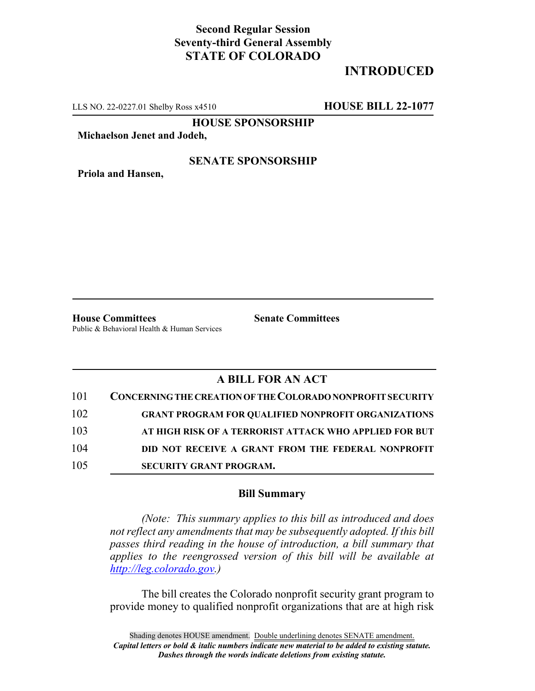## **Second Regular Session Seventy-third General Assembly STATE OF COLORADO**

# **INTRODUCED**

LLS NO. 22-0227.01 Shelby Ross x4510 **HOUSE BILL 22-1077**

**HOUSE SPONSORSHIP**

**Michaelson Jenet and Jodeh,**

#### **SENATE SPONSORSHIP**

**Priola and Hansen,**

**House Committees Senate Committees** Public & Behavioral Health & Human Services

### **A BILL FOR AN ACT**

| 101 | <b>CONCERNING THE CREATION OF THE COLORADO NONPROFIT SECURITY</b> |
|-----|-------------------------------------------------------------------|
| 102 | <b>GRANT PROGRAM FOR QUALIFIED NONPROFIT ORGANIZATIONS</b>        |
| 103 | AT HIGH RISK OF A TERRORIST ATTACK WHO APPLIED FOR BUT            |
| 104 | DID NOT RECEIVE A GRANT FROM THE FEDERAL NONPROFIT                |
| 105 | <b>SECURITY GRANT PROGRAM.</b>                                    |

#### **Bill Summary**

*(Note: This summary applies to this bill as introduced and does not reflect any amendments that may be subsequently adopted. If this bill passes third reading in the house of introduction, a bill summary that applies to the reengrossed version of this bill will be available at http://leg.colorado.gov.)*

The bill creates the Colorado nonprofit security grant program to provide money to qualified nonprofit organizations that are at high risk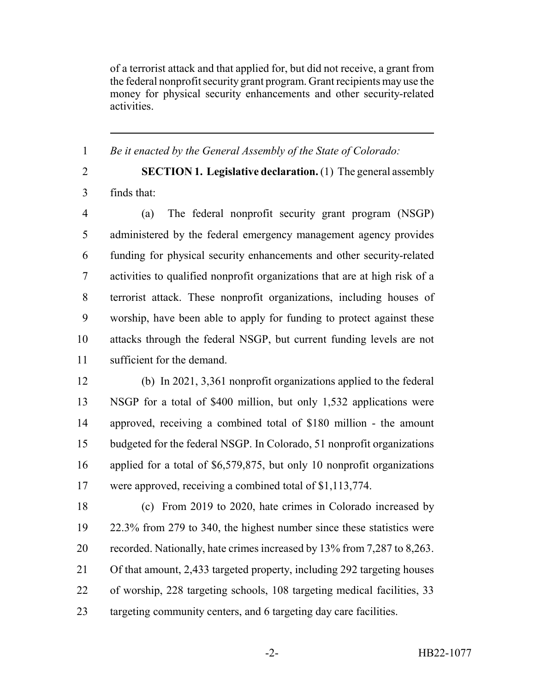of a terrorist attack and that applied for, but did not receive, a grant from the federal nonprofit security grant program. Grant recipients may use the money for physical security enhancements and other security-related activities.

*Be it enacted by the General Assembly of the State of Colorado:*

 **SECTION 1. Legislative declaration.** (1) The general assembly finds that:

 (a) The federal nonprofit security grant program (NSGP) administered by the federal emergency management agency provides funding for physical security enhancements and other security-related activities to qualified nonprofit organizations that are at high risk of a terrorist attack. These nonprofit organizations, including houses of worship, have been able to apply for funding to protect against these attacks through the federal NSGP, but current funding levels are not sufficient for the demand.

 (b) In 2021, 3,361 nonprofit organizations applied to the federal NSGP for a total of \$400 million, but only 1,532 applications were approved, receiving a combined total of \$180 million - the amount budgeted for the federal NSGP. In Colorado, 51 nonprofit organizations applied for a total of \$6,579,875, but only 10 nonprofit organizations were approved, receiving a combined total of \$1,113,774.

 (c) From 2019 to 2020, hate crimes in Colorado increased by 22.3% from 279 to 340, the highest number since these statistics were recorded. Nationally, hate crimes increased by 13% from 7,287 to 8,263. Of that amount, 2,433 targeted property, including 292 targeting houses of worship, 228 targeting schools, 108 targeting medical facilities, 33 23 targeting community centers, and 6 targeting day care facilities.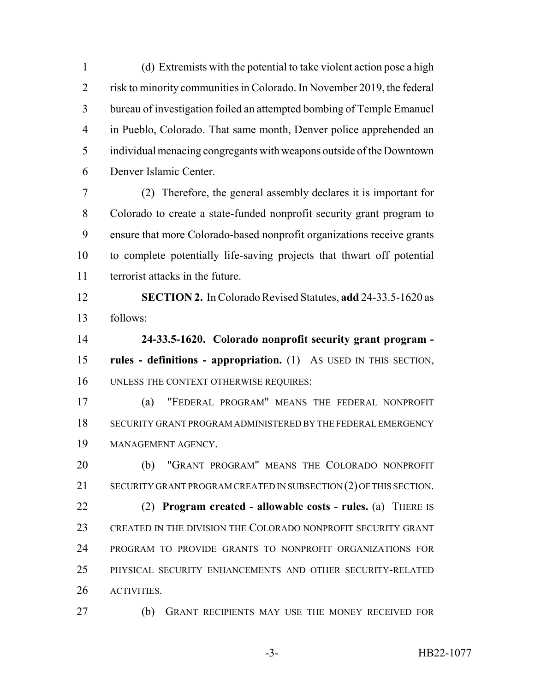(d) Extremists with the potential to take violent action pose a high risk to minority communities in Colorado. In November 2019, the federal bureau of investigation foiled an attempted bombing of Temple Emanuel in Pueblo, Colorado. That same month, Denver police apprehended an individual menacing congregants with weapons outside of the Downtown Denver Islamic Center.

 (2) Therefore, the general assembly declares it is important for Colorado to create a state-funded nonprofit security grant program to ensure that more Colorado-based nonprofit organizations receive grants to complete potentially life-saving projects that thwart off potential terrorist attacks in the future.

 **SECTION 2.** In Colorado Revised Statutes, **add** 24-33.5-1620 as follows:

 **24-33.5-1620. Colorado nonprofit security grant program - rules - definitions - appropriation.** (1) AS USED IN THIS SECTION, UNLESS THE CONTEXT OTHERWISE REQUIRES:

 (a) "FEDERAL PROGRAM" MEANS THE FEDERAL NONPROFIT SECURITY GRANT PROGRAM ADMINISTERED BY THE FEDERAL EMERGENCY MANAGEMENT AGENCY.

 (b) "GRANT PROGRAM" MEANS THE COLORADO NONPROFIT 21 SECURITY GRANT PROGRAM CREATED IN SUBSECTION (2) OF THIS SECTION. (2) **Program created - allowable costs - rules.** (a) THERE IS CREATED IN THE DIVISION THE COLORADO NONPROFIT SECURITY GRANT PROGRAM TO PROVIDE GRANTS TO NONPROFIT ORGANIZATIONS FOR PHYSICAL SECURITY ENHANCEMENTS AND OTHER SECURITY-RELATED ACTIVITIES.

(b) GRANT RECIPIENTS MAY USE THE MONEY RECEIVED FOR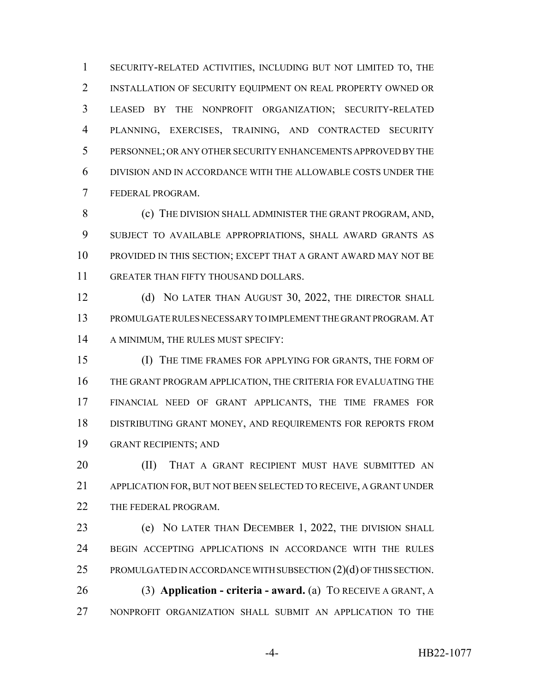SECURITY-RELATED ACTIVITIES, INCLUDING BUT NOT LIMITED TO, THE INSTALLATION OF SECURITY EQUIPMENT ON REAL PROPERTY OWNED OR LEASED BY THE NONPROFIT ORGANIZATION; SECURITY-RELATED PLANNING, EXERCISES, TRAINING, AND CONTRACTED SECURITY PERSONNEL; OR ANY OTHER SECURITY ENHANCEMENTS APPROVED BY THE DIVISION AND IN ACCORDANCE WITH THE ALLOWABLE COSTS UNDER THE FEDERAL PROGRAM.

 (c) THE DIVISION SHALL ADMINISTER THE GRANT PROGRAM, AND, SUBJECT TO AVAILABLE APPROPRIATIONS, SHALL AWARD GRANTS AS PROVIDED IN THIS SECTION; EXCEPT THAT A GRANT AWARD MAY NOT BE GREATER THAN FIFTY THOUSAND DOLLARS.

12 (d) NO LATER THAN AUGUST 30, 2022, THE DIRECTOR SHALL PROMULGATE RULES NECESSARY TO IMPLEMENT THE GRANT PROGRAM.AT 14 A MINIMUM, THE RULES MUST SPECIFY:

 (I) THE TIME FRAMES FOR APPLYING FOR GRANTS, THE FORM OF THE GRANT PROGRAM APPLICATION, THE CRITERIA FOR EVALUATING THE FINANCIAL NEED OF GRANT APPLICANTS, THE TIME FRAMES FOR DISTRIBUTING GRANT MONEY, AND REQUIREMENTS FOR REPORTS FROM GRANT RECIPIENTS; AND

**(II)** THAT A GRANT RECIPIENT MUST HAVE SUBMITTED AN APPLICATION FOR, BUT NOT BEEN SELECTED TO RECEIVE, A GRANT UNDER 22 THE FEDERAL PROGRAM.

 (e) NO LATER THAN DECEMBER 1, 2022, THE DIVISION SHALL BEGIN ACCEPTING APPLICATIONS IN ACCORDANCE WITH THE RULES 25 PROMULGATED IN ACCORDANCE WITH SUBSECTION  $(2)(d)$  OF THIS SECTION. (3) **Application - criteria - award.** (a) TO RECEIVE A GRANT, A

NONPROFIT ORGANIZATION SHALL SUBMIT AN APPLICATION TO THE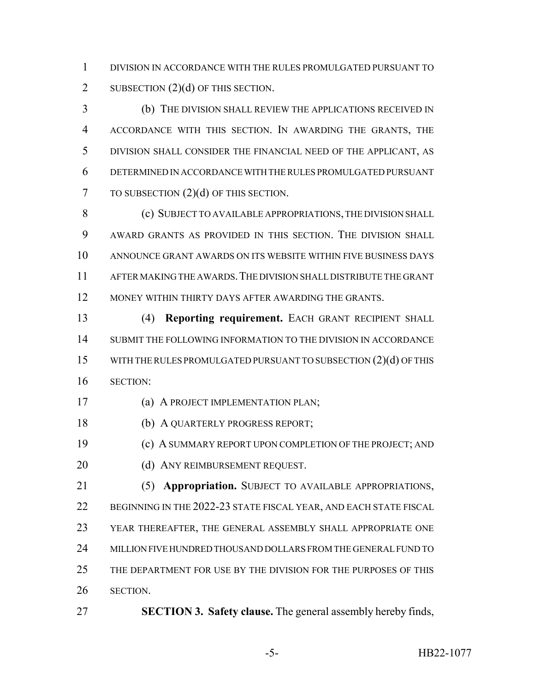DIVISION IN ACCORDANCE WITH THE RULES PROMULGATED PURSUANT TO 2 SUBSECTION (2)(d) OF THIS SECTION.

 (b) THE DIVISION SHALL REVIEW THE APPLICATIONS RECEIVED IN ACCORDANCE WITH THIS SECTION. IN AWARDING THE GRANTS, THE DIVISION SHALL CONSIDER THE FINANCIAL NEED OF THE APPLICANT, AS DETERMINED IN ACCORDANCE WITH THE RULES PROMULGATED PURSUANT 7 TO SUBSECTION (2)(d) OF THIS SECTION.

8 (c) SUBJECT TO AVAILABLE APPROPRIATIONS, THE DIVISION SHALL AWARD GRANTS AS PROVIDED IN THIS SECTION. THE DIVISION SHALL ANNOUNCE GRANT AWARDS ON ITS WEBSITE WITHIN FIVE BUSINESS DAYS AFTER MAKING THE AWARDS.THE DIVISION SHALL DISTRIBUTE THE GRANT MONEY WITHIN THIRTY DAYS AFTER AWARDING THE GRANTS.

 (4) **Reporting requirement.** EACH GRANT RECIPIENT SHALL SUBMIT THE FOLLOWING INFORMATION TO THE DIVISION IN ACCORDANCE WITH THE RULES PROMULGATED PURSUANT TO SUBSECTION (2)(d) OF THIS SECTION:

(a) A PROJECT IMPLEMENTATION PLAN;

(b) A QUARTERLY PROGRESS REPORT;

(c) A SUMMARY REPORT UPON COMPLETION OF THE PROJECT; AND

20 (d) ANY REIMBURSEMENT REQUEST.

 (5) **Appropriation.** SUBJECT TO AVAILABLE APPROPRIATIONS, 22 BEGINNING IN THE 2022-23 STATE FISCAL YEAR, AND EACH STATE FISCAL YEAR THEREAFTER, THE GENERAL ASSEMBLY SHALL APPROPRIATE ONE MILLION FIVE HUNDRED THOUSAND DOLLARS FROM THE GENERAL FUND TO THE DEPARTMENT FOR USE BY THE DIVISION FOR THE PURPOSES OF THIS SECTION.

**SECTION 3. Safety clause.** The general assembly hereby finds,